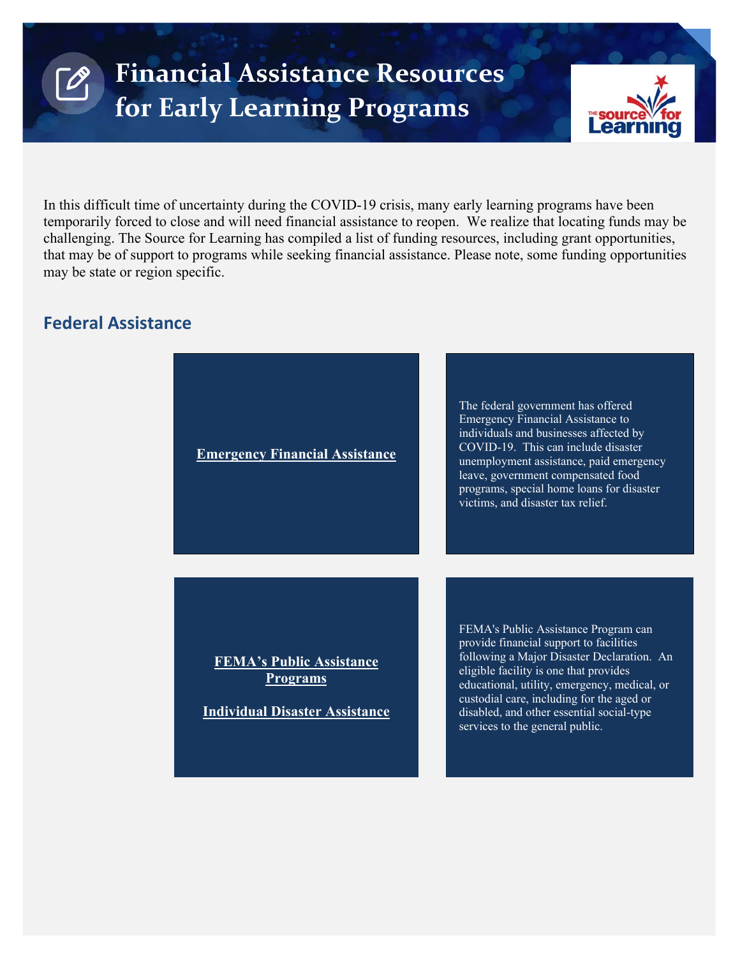

In this difficult time of uncertainty during the COVID-19 crisis, many early learning programs have been temporarily forced to close and will need financial assistance to reopen. We realize that locating funds may be challenging. The Source for Learning has compiled a list of funding resources, including grant opportunities, that may be of support to programs while seeking financial assistance. Please note, some funding opportunities may be state or region specific.

# **Federal Assistance**

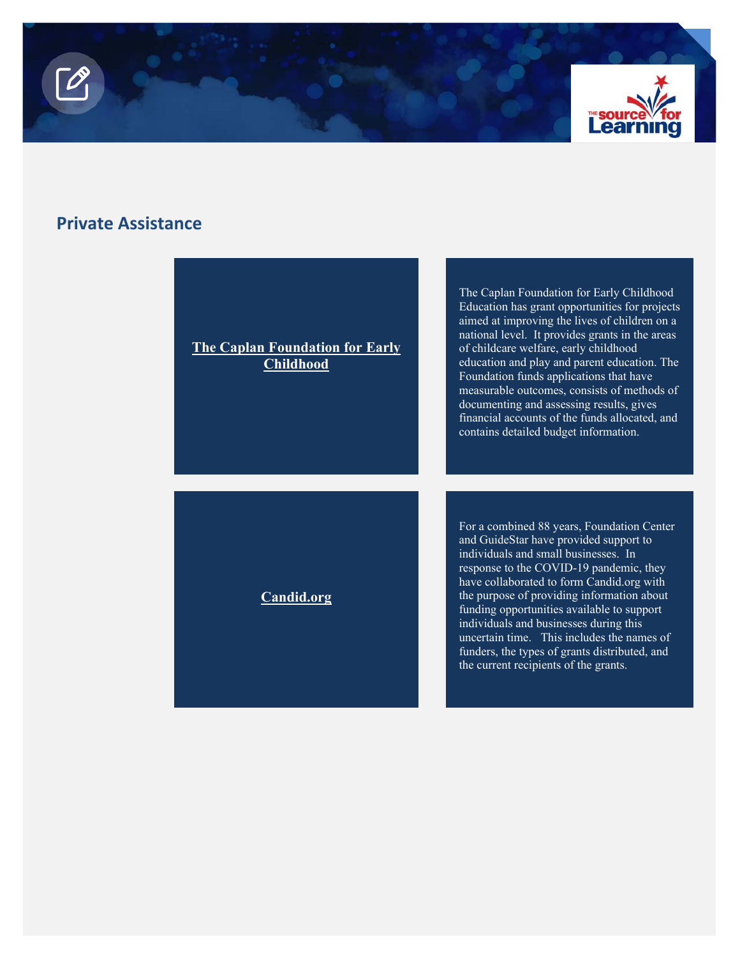



# **Private Assistance**

#### **[The Caplan Foundation for Early](https://earlychildhoodfoundation.org/)  Childhood**

**[Candid.org](https://candid.org/explore-issues/coronavirus?_ga=2.237857539.2028546819.1585787395-1829415575.1585787395)** 

The Caplan Foundation for Early Childhood Education has grant opportunities for projects aimed at improving the lives of children on a national level. It provides grants in the areas of childcare welfare, early childhood education and play and parent education. The Foundation funds applications that have measurable outcomes, consists of methods of documenting and assessing results, gives financial accounts of the funds allocated, and contains detailed budget information.

For a combined 88 years, Foundation Center and GuideStar have provided support to individuals and small businesses. In response to the COVID-19 pandemic, they have collaborated to form Candid.org with the purpose of providing information about funding opportunities available to support individuals and businesses during this uncertain time. This includes the names of funders, the types of grants distributed, and the current recipients of the grants.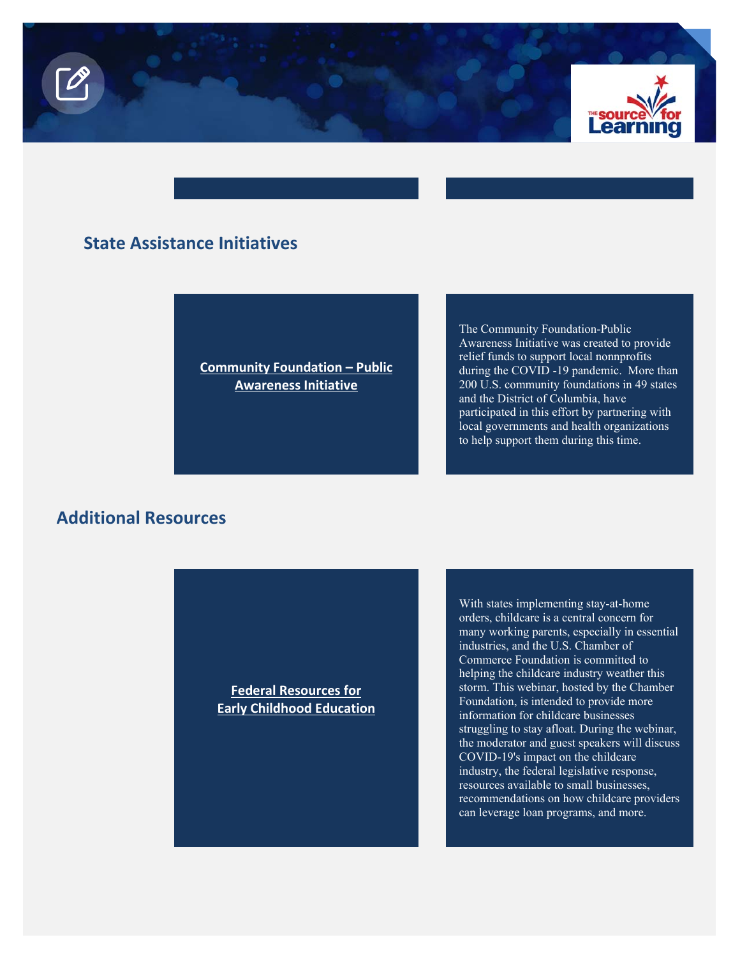

# **State Assistance Initiatives**

**[Community Foundation – Public](https://www.commfoundations.com/blog/2020/3/11/community-foundations-nationwide-launch-efforts-to-help-communities-affected-by-the-coronavirus)  Awareness Initiative** 

The Community Foundation-Public Awareness Initiative was created to provide relief funds to support local nonnprofits during the COVID -19 pandemic. More than 200 U.S. community foundations in 49 states and the District of Columbia, have participated in this effort by partnering with local governments and health organizations to help support them during this time.

# **Additional Resources**

**Federal Resources for [Early Childhood Education](https://www.uschamberfoundation.org/event/federal-resources-early-childhood-education)**  With states implementing stay-at-home orders, childcare is a central concern for many working parents, especially in essential industries, and the U.S. Chamber of Commerce Foundation is committed to helping the childcare industry weather this storm. This webinar, hosted by the Chamber Foundation, is intended to provide more information for childcare businesses struggling to stay afloat. During the webinar, the moderator and guest speakers will discuss COVID-19's impact on the childcare industry, the federal legislative response, resources available to small businesses, recommendations on how childcare providers can leverage loan programs, and more.